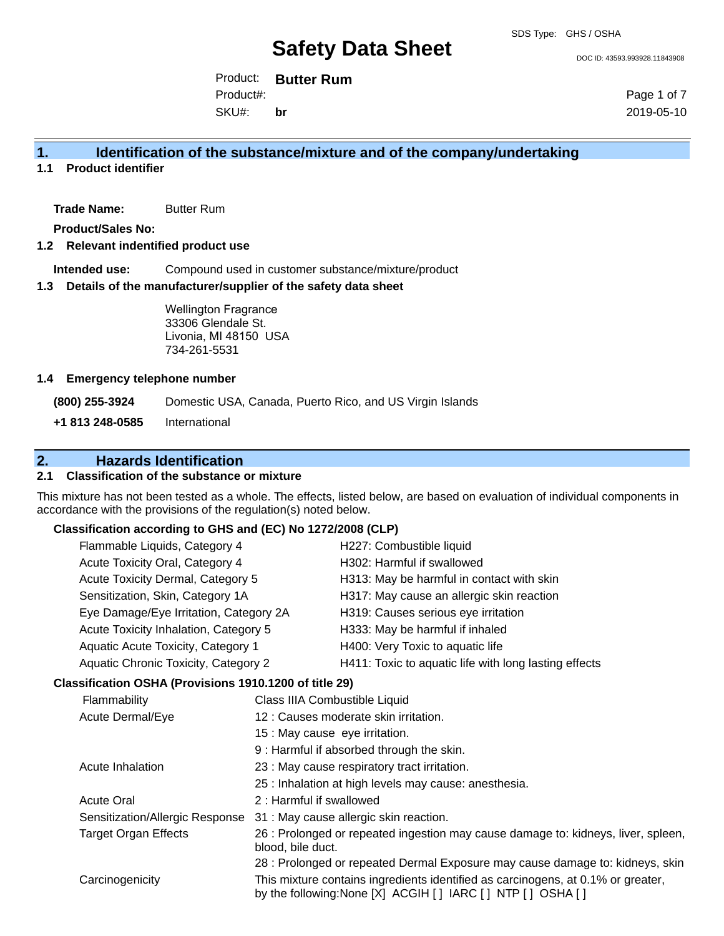DOC ID: 43593.993928.11843908

Product: **Butter Rum** Product#:

SKU#: **br** Page 1 of 7 2019-05-10

## **1. Identification of the substance/mixture and of the company/undertaking**

**1.1 Product identifier**

**Trade Name:** Butter Rum

**Product/Sales No:**

#### **1.2 Relevant indentified product use**

**Intended use:** Compound used in customer substance/mixture/product

#### **1.3 Details of the manufacturer/supplier of the safety data sheet**

Wellington Fragrance 33306 Glendale St. Livonia, MI 48150 USA 734-261-5531

#### **1.4 Emergency telephone number**

**(800) 255-3924** Domestic USA, Canada, Puerto Rico, and US Virgin Islands **+1 813 248-0585** International

## **2. Hazards Identification**

#### **2.1 Classification of the substance or mixture**

This mixture has not been tested as a whole. The effects, listed below, are based on evaluation of individual components in accordance with the provisions of the regulation(s) noted below.

### **Classification according to GHS and (EC) No 1272/2008 (CLP)**

|                                                                                                                               | Flammable Liquids, Category 4                                                   |                                                                                   | H227: Combustible liquid                                                                                                                       |
|-------------------------------------------------------------------------------------------------------------------------------|---------------------------------------------------------------------------------|-----------------------------------------------------------------------------------|------------------------------------------------------------------------------------------------------------------------------------------------|
|                                                                                                                               | Acute Toxicity Oral, Category 4                                                 |                                                                                   | H302: Harmful if swallowed                                                                                                                     |
|                                                                                                                               | Acute Toxicity Dermal, Category 5                                               |                                                                                   | H313: May be harmful in contact with skin                                                                                                      |
|                                                                                                                               | Sensitization, Skin, Category 1A                                                |                                                                                   | H317: May cause an allergic skin reaction                                                                                                      |
|                                                                                                                               |                                                                                 |                                                                                   | H319: Causes serious eye irritation                                                                                                            |
|                                                                                                                               | Eye Damage/Eye Irritation, Category 2A<br>Acute Toxicity Inhalation, Category 5 |                                                                                   | H333: May be harmful if inhaled                                                                                                                |
|                                                                                                                               | Aquatic Acute Toxicity, Category 1                                              |                                                                                   | H400: Very Toxic to aquatic life                                                                                                               |
|                                                                                                                               |                                                                                 |                                                                                   |                                                                                                                                                |
|                                                                                                                               | Aquatic Chronic Toxicity, Category 2                                            |                                                                                   | H411: Toxic to aquatic life with long lasting effects                                                                                          |
|                                                                                                                               | Classification OSHA (Provisions 1910.1200 of title 29)                          |                                                                                   |                                                                                                                                                |
|                                                                                                                               | Flammability                                                                    | Class IIIA Combustible Liquid                                                     |                                                                                                                                                |
|                                                                                                                               | Acute Dermal/Eye<br>15 : May cause eye irritation.                              |                                                                                   | 12 : Causes moderate skin irritation.                                                                                                          |
|                                                                                                                               |                                                                                 |                                                                                   |                                                                                                                                                |
|                                                                                                                               |                                                                                 |                                                                                   | 9 : Harmful if absorbed through the skin.                                                                                                      |
|                                                                                                                               | Acute Inhalation                                                                |                                                                                   | 23 : May cause respiratory tract irritation.                                                                                                   |
|                                                                                                                               |                                                                                 |                                                                                   | 25 : Inhalation at high levels may cause: anesthesia.                                                                                          |
|                                                                                                                               | <b>Acute Oral</b><br>2: Harmful if swallowed                                    |                                                                                   |                                                                                                                                                |
| 31 : May cause allergic skin reaction.<br>Sensitization/Allergic Response<br><b>Target Organ Effects</b><br>blood, bile duct. |                                                                                 |                                                                                   |                                                                                                                                                |
|                                                                                                                               |                                                                                 | 26 : Prolonged or repeated ingestion may cause damage to: kidneys, liver, spleen, |                                                                                                                                                |
|                                                                                                                               |                                                                                 |                                                                                   | 28 : Prolonged or repeated Dermal Exposure may cause damage to: kidneys, skin                                                                  |
|                                                                                                                               | Carcinogenicity                                                                 |                                                                                   | This mixture contains ingredients identified as carcinogens, at 0.1% or greater,<br>by the following: None [X] ACGIH [] IARC [] NTP [] OSHA [] |
|                                                                                                                               |                                                                                 |                                                                                   |                                                                                                                                                |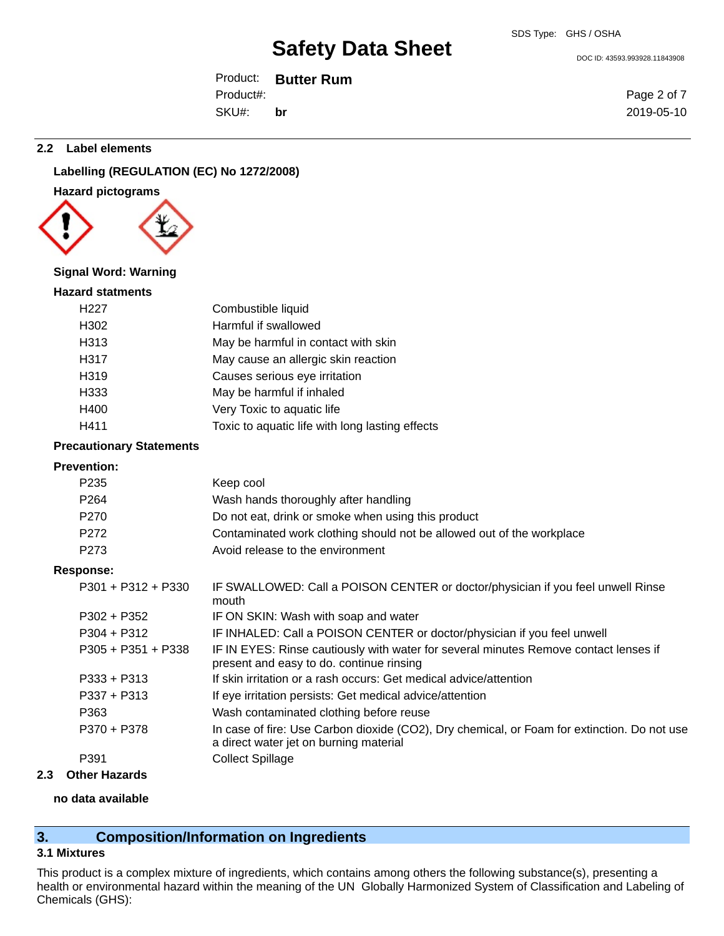DOC ID: 43593.993928.11843908

Product: **Butter Rum** SKU#: Product#: **br**

Page 2 of 7 2019-05-10

#### **2.2 Label elements**

## **Labelling (REGULATION (EC) No 1272/2008)**

## **Hazard pictograms**



## **Signal Word: Warning**

#### **Hazard statments**

| H <sub>22</sub> 7 | Combustible liquid                              |
|-------------------|-------------------------------------------------|
| H302              | Harmful if swallowed                            |
| H313              | May be harmful in contact with skin             |
| H317              | May cause an allergic skin reaction             |
| H319              | Causes serious eye irritation                   |
| H333              | May be harmful if inhaled                       |
| H400              | Very Toxic to aquatic life                      |
| H411              | Toxic to aquatic life with long lasting effects |

#### **Precautionary Statements**

## **Prevention:**

| г гетениоп.          |                                                                                                                                       |
|----------------------|---------------------------------------------------------------------------------------------------------------------------------------|
| P <sub>235</sub>     | Keep cool                                                                                                                             |
| P <sub>264</sub>     | Wash hands thoroughly after handling                                                                                                  |
| P270                 | Do not eat, drink or smoke when using this product                                                                                    |
| P <sub>272</sub>     | Contaminated work clothing should not be allowed out of the workplace                                                                 |
| P <sub>273</sub>     | Avoid release to the environment                                                                                                      |
| Response:            |                                                                                                                                       |
| $P301 + P312 + P330$ | IF SWALLOWED: Call a POISON CENTER or doctor/physician if you feel unwell Rinse<br>mouth                                              |
| $P302 + P352$        | IF ON SKIN: Wash with soap and water                                                                                                  |
| $P304 + P312$        | IF INHALED: Call a POISON CENTER or doctor/physician if you feel unwell                                                               |
| $P305 + P351 + P338$ | IF IN EYES: Rinse cautiously with water for several minutes Remove contact lenses if<br>present and easy to do. continue rinsing      |
| $P333 + P313$        | If skin irritation or a rash occurs: Get medical advice/attention                                                                     |
| $P337 + P313$        | If eye irritation persists: Get medical advice/attention                                                                              |
| P363                 | Wash contaminated clothing before reuse                                                                                               |
| P370 + P378          | In case of fire: Use Carbon dioxide (CO2), Dry chemical, or Foam for extinction. Do not use<br>a direct water jet on burning material |
| P391                 | <b>Collect Spillage</b>                                                                                                               |
|                      |                                                                                                                                       |

## **2.3 Other Hazards**

#### **no data available**

## **3. Composition/Information on Ingredients**

#### **3.1 Mixtures**

This product is a complex mixture of ingredients, which contains among others the following substance(s), presenting a health or environmental hazard within the meaning of the UN Globally Harmonized System of Classification and Labeling of Chemicals (GHS):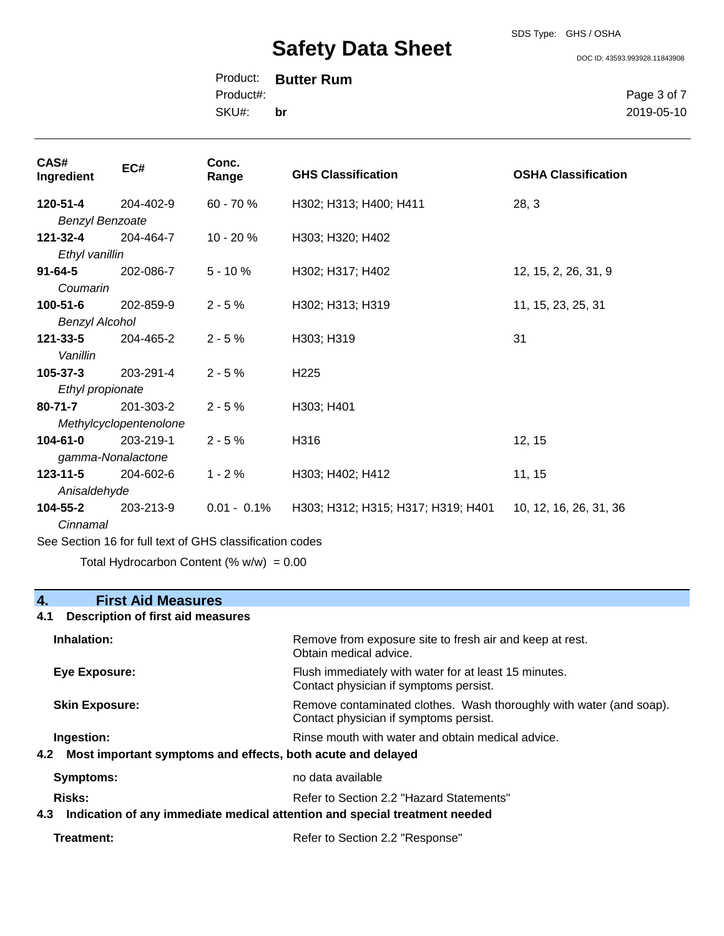## SDS Type: GHS / OSHA

# **Safety Data Sheet**

DOC ID: 43593.993928.11843908

Product: **Butter Rum** SKU#: Product#: **br**

Page 3 of 7 2019-05-10

| CAS#<br>Ingredient                                       | EC#              | Conc.<br>Range | <b>GHS Classification</b>          | <b>OSHA Classification</b> |
|----------------------------------------------------------|------------------|----------------|------------------------------------|----------------------------|
| 120-51-4                                                 | 204-402-9        | 60 - 70 %      | H302; H313; H400; H411             | 28, 3                      |
| <b>Benzyl Benzoate</b>                                   |                  |                |                                    |                            |
| 121-32-4                                                 | 204-464-7        | 10 - 20 %      | H303; H320; H402                   |                            |
| Ethyl vanillin                                           |                  |                |                                    |                            |
| $91 - 64 - 5$                                            | 202-086-7        | $5 - 10%$      | H302; H317; H402                   | 12, 15, 2, 26, 31, 9       |
| Coumarin                                                 |                  |                |                                    |                            |
| $100 - 51 - 6$                                           | 202-859-9        | $2 - 5%$       | H302; H313; H319                   | 11, 15, 23, 25, 31         |
| <b>Benzyl Alcohol</b>                                    |                  |                |                                    |                            |
| 121-33-5                                                 | 204-465-2        | $2 - 5%$       | H303; H319                         | 31                         |
| Vanillin                                                 |                  |                |                                    |                            |
| $105 - 37 - 3$                                           | 203-291-4        | $2 - 5%$       | H <sub>225</sub>                   |                            |
|                                                          | Ethyl propionate |                |                                    |                            |
| $80 - 71 - 7$                                            | 201-303-2        | $2 - 5%$       | H303; H401                         |                            |
| Methylcyclopentenolone                                   |                  |                |                                    |                            |
| $104 - 61 - 0$                                           | 203-219-1        | $2 - 5%$       | H316                               | 12, 15                     |
| gamma-Nonalactone                                        |                  |                |                                    |                            |
| $123 - 11 - 5$                                           | 204-602-6        | $1 - 2%$       | H303; H402; H412                   | 11, 15                     |
| Anisaldehyde                                             |                  |                |                                    |                            |
| $104 - 55 - 2$                                           | 203-213-9        | $0.01 - 0.1\%$ | H303; H312; H315; H317; H319; H401 | 10, 12, 16, 26, 31, 36     |
| Cinnamal                                                 |                  |                |                                    |                            |
| Can Cantina 40 feet ull tout of OUO plannification pages |                  |                |                                    |                            |

See Section 16 for full text of GHS classification codes

Total Hydrocarbon Content (%  $w/w$ ) = 0.00

## **4. First Aid Measures**

## **4.1 Description of first aid measures**

| Inhalation:                                                                                                                          | Remove from exposure site to fresh air and keep at rest.<br>Obtain medical advice.                                   |
|--------------------------------------------------------------------------------------------------------------------------------------|----------------------------------------------------------------------------------------------------------------------|
| Eye Exposure:                                                                                                                        | Flush immediately with water for at least 15 minutes.<br>Contact physician if symptoms persist.                      |
| <b>Skin Exposure:</b>                                                                                                                | Remove contaminated clothes. Wash thoroughly with water (and soap).<br>Contact physician if symptoms persist.        |
| Ingestion:                                                                                                                           | Rinse mouth with water and obtain medical advice.<br>4.2 Most important symptoms and effects, both acute and delayed |
| Symptoms:                                                                                                                            | no data available                                                                                                    |
| Risks:<br>Refer to Section 2.2 "Hazard Statements"<br>4.3 Indication of any immediate medical attention and special treatment needed |                                                                                                                      |
| Treatment:                                                                                                                           | Refer to Section 2.2 "Response"                                                                                      |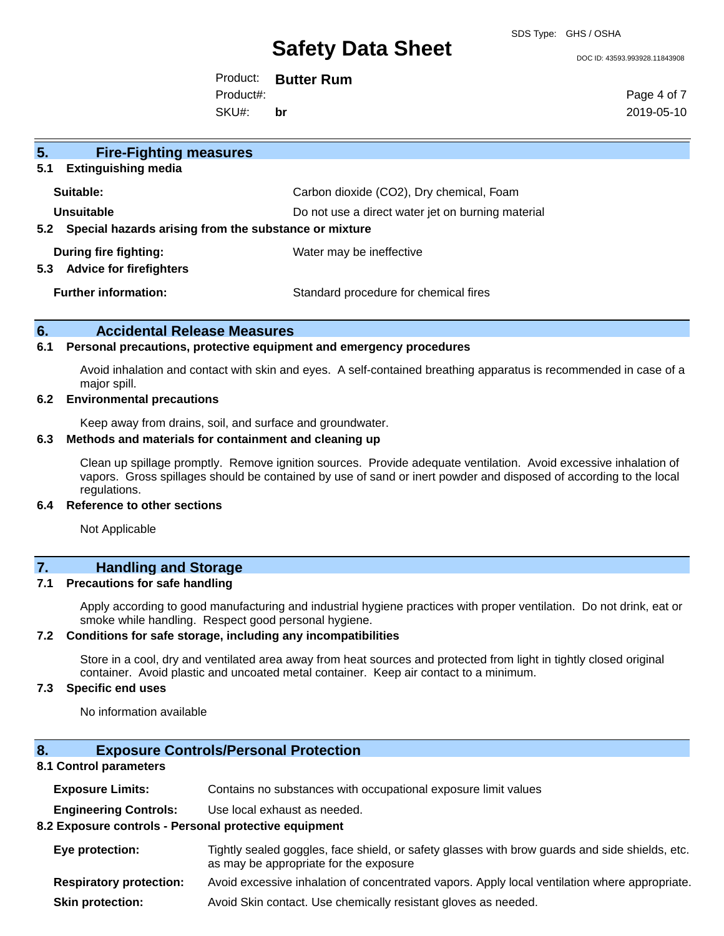SDS Type: GHS / OSHA

#### DOC ID: 43593.993928.11843908

Product: **Butter Rum**

Product#:

SKU#: **br** Page 4 of 7 2019-05-10

| 5 <sub>1</sub><br><b>Fire-Fighting measures</b>              |                                                   |  |
|--------------------------------------------------------------|---------------------------------------------------|--|
| <b>Extinguishing media</b><br>5.1                            |                                                   |  |
| Suitable:                                                    | Carbon dioxide (CO2), Dry chemical, Foam          |  |
| Unsuitable                                                   | Do not use a direct water jet on burning material |  |
| Special hazards arising from the substance or mixture<br>5.2 |                                                   |  |
| During fire fighting:                                        | Water may be ineffective                          |  |
| <b>Advice for firefighters</b><br>5.3                        |                                                   |  |
| <b>Further information:</b>                                  | Standard procedure for chemical fires             |  |
|                                                              |                                                   |  |

#### **6. Accidental Release Measures**

#### **6.1 Personal precautions, protective equipment and emergency procedures**

Avoid inhalation and contact with skin and eyes. A self-contained breathing apparatus is recommended in case of a major spill.

#### **6.2 Environmental precautions**

Keep away from drains, soil, and surface and groundwater.

#### **6.3 Methods and materials for containment and cleaning up**

Clean up spillage promptly. Remove ignition sources. Provide adequate ventilation. Avoid excessive inhalation of vapors. Gross spillages should be contained by use of sand or inert powder and disposed of according to the local regulations.

#### **6.4 Reference to other sections**

Not Applicable

## **7. Handling and Storage**

#### **7.1 Precautions for safe handling**

Apply according to good manufacturing and industrial hygiene practices with proper ventilation. Do not drink, eat or smoke while handling. Respect good personal hygiene.

#### **7.2 Conditions for safe storage, including any incompatibilities**

Store in a cool, dry and ventilated area away from heat sources and protected from light in tightly closed original container. Avoid plastic and uncoated metal container. Keep air contact to a minimum.

#### **7.3 Specific end uses**

No information available

## **8. Exposure Controls/Personal Protection**

#### **8.1 Control parameters**

| <b>Exposure Limits:</b> |  | Contains no substances with occupational exposure limit values |
|-------------------------|--|----------------------------------------------------------------|
|-------------------------|--|----------------------------------------------------------------|

**Engineering Controls:** Use local exhaust as needed.

### **8.2 Exposure controls - Personal protective equipment**

| Eye protection:          | Tightly sealed goggles, face shield, or safety glasses with brow guards and side shields, etc.<br>as may be appropriate for the exposure |
|--------------------------|------------------------------------------------------------------------------------------------------------------------------------------|
| Desminateur musication : | Australian de la belation de conceptature de concert de la belation de la conceptature de la de                                          |

- **Respiratory protection:** Avoid excessive inhalation of concentrated vapors. Apply local ventilation where appropriate.
- **Skin protection:** Avoid Skin contact. Use chemically resistant gloves as needed.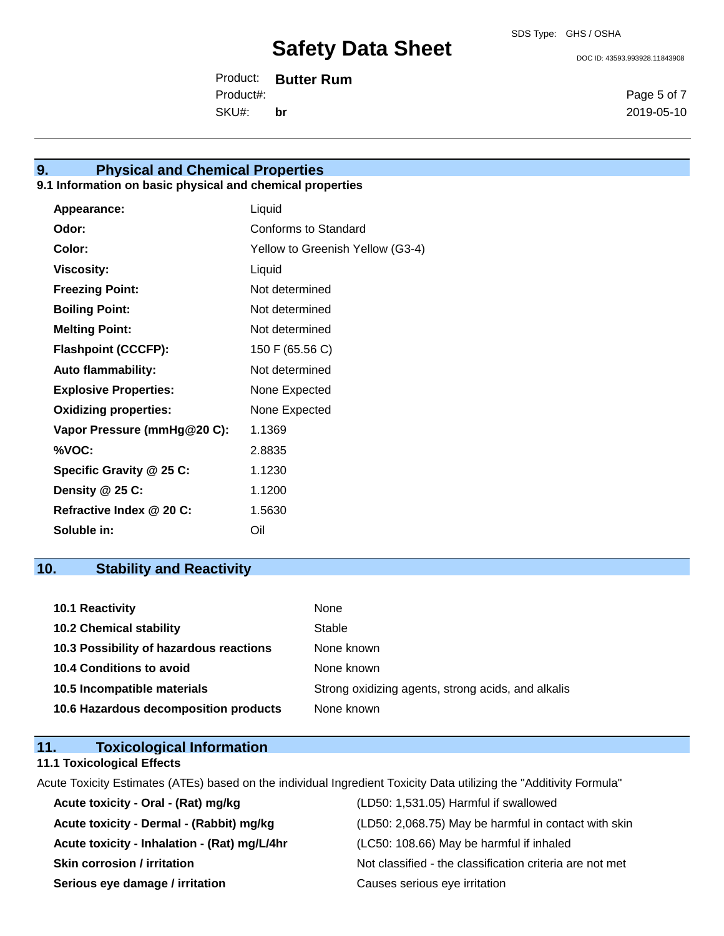DOC ID: 43593.993928.11843908

Product: **Butter Rum** SKU#: Product#: **br**

Page 5 of 7 2019-05-10

### **9. Physical and Chemical Properties**

## **9.1 Information on basic physical and chemical properties**

| Appearance:                  | Liquid                           |
|------------------------------|----------------------------------|
| Odor:                        | Conforms to Standard             |
| Color:                       | Yellow to Greenish Yellow (G3-4) |
| <b>Viscosity:</b>            | Liquid                           |
| <b>Freezing Point:</b>       | Not determined                   |
| <b>Boiling Point:</b>        | Not determined                   |
| <b>Melting Point:</b>        | Not determined                   |
| <b>Flashpoint (CCCFP):</b>   | 150 F (65.56 C)                  |
| <b>Auto flammability:</b>    | Not determined                   |
| <b>Explosive Properties:</b> | None Expected                    |
| <b>Oxidizing properties:</b> | None Expected                    |
| Vapor Pressure (mmHg@20 C):  | 1.1369                           |
| %VOC:                        | 2.8835                           |
| Specific Gravity @ 25 C:     | 1.1230                           |
| Density @ 25 C:              | 1.1200                           |
| Refractive Index @ 20 C:     | 1.5630                           |
| Soluble in:                  | Oil                              |

## **10. Stability and Reactivity**

| 10.1 Reactivity                         | None                                               |
|-----------------------------------------|----------------------------------------------------|
| <b>10.2 Chemical stability</b>          | Stable                                             |
| 10.3 Possibility of hazardous reactions | None known                                         |
| <b>10.4 Conditions to avoid</b>         | None known                                         |
| 10.5 Incompatible materials             | Strong oxidizing agents, strong acids, and alkalis |
| 10.6 Hazardous decomposition products   | None known                                         |

## **11. Toxicological Information**

#### **11.1 Toxicological Effects**

Acute Toxicity Estimates (ATEs) based on the individual Ingredient Toxicity Data utilizing the "Additivity Formula"

| Acute toxicity - Oral - (Rat) mg/kg          | (LD50: 1,531.05) Harmful if swallowed                    |
|----------------------------------------------|----------------------------------------------------------|
| Acute toxicity - Dermal - (Rabbit) mg/kg     | (LD50: 2,068.75) May be harmful in contact with skin     |
| Acute toxicity - Inhalation - (Rat) mg/L/4hr | (LC50: 108.66) May be harmful if inhaled                 |
| <b>Skin corrosion / irritation</b>           | Not classified - the classification criteria are not met |
| Serious eye damage / irritation              | Causes serious eye irritation                            |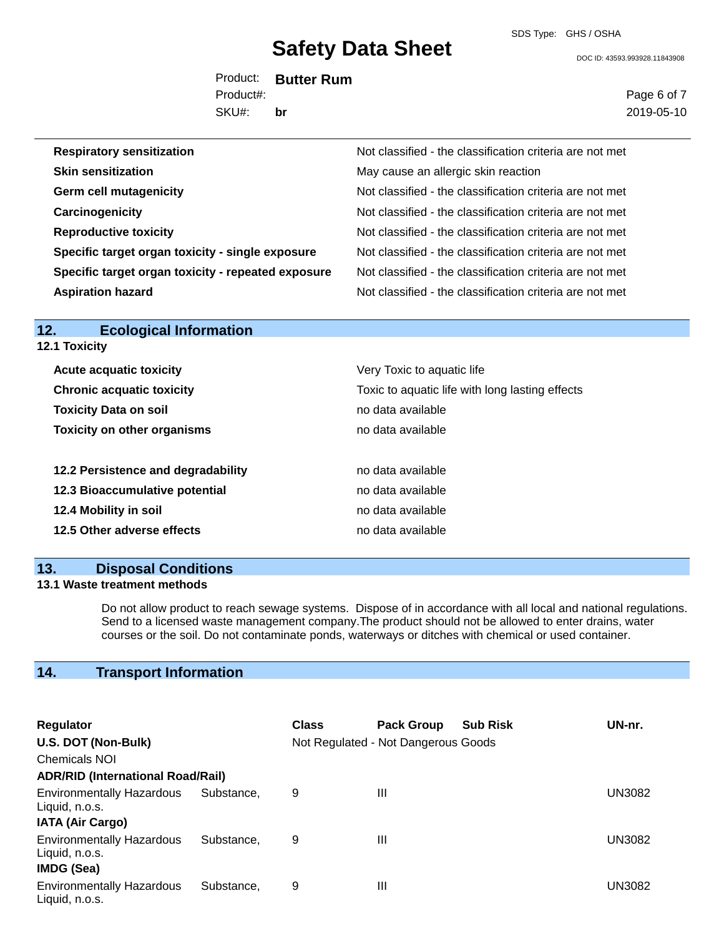DOC ID: 43593.993928.11843908

Product: **Butter Rum** SKU#: Product#: **br**

Page 6 of 7 2019-05-10

| <b>Respiratory sensitization</b>                   | Not classified - the classification criteria are not met |
|----------------------------------------------------|----------------------------------------------------------|
| <b>Skin sensitization</b>                          | May cause an allergic skin reaction                      |
| <b>Germ cell mutagenicity</b>                      | Not classified - the classification criteria are not met |
| Carcinogenicity                                    | Not classified - the classification criteria are not met |
| <b>Reproductive toxicity</b>                       | Not classified - the classification criteria are not met |
| Specific target organ toxicity - single exposure   | Not classified - the classification criteria are not met |
| Specific target organ toxicity - repeated exposure | Not classified - the classification criteria are not met |
| <b>Aspiration hazard</b>                           | Not classified - the classification criteria are not met |

| 12.                  | <b>Ecological Information</b> |
|----------------------|-------------------------------|
| <b>12.1 Toxicity</b> |                               |

| <b>Acute acquatic toxicity</b>     | Very Toxic to aquatic life                      |
|------------------------------------|-------------------------------------------------|
| <b>Chronic acquatic toxicity</b>   | Toxic to aquatic life with long lasting effects |
| <b>Toxicity Data on soil</b>       | no data available                               |
| <b>Toxicity on other organisms</b> | no data available                               |
|                                    |                                                 |
| 12.2 Persistence and degradability | no data available                               |
| 12.3 Bioaccumulative potential     | no data available                               |
| 12.4 Mobility in soil              | no data available                               |
| 12.5 Other adverse effects         | no data available                               |

#### **13. Disposal Conditions**

#### **13.1 Waste treatment methods**

Do not allow product to reach sewage systems. Dispose of in accordance with all local and national regulations. Send to a licensed waste management company.The product should not be allowed to enter drains, water courses or the soil. Do not contaminate ponds, waterways or ditches with chemical or used container.

## **14. Transport Information**

| <b>Regulator</b>                                   |            | <b>Class</b> | <b>Pack Group</b>                   | <b>Sub Risk</b> | UN-nr. |
|----------------------------------------------------|------------|--------------|-------------------------------------|-----------------|--------|
| U.S. DOT (Non-Bulk)                                |            |              | Not Regulated - Not Dangerous Goods |                 |        |
| <b>Chemicals NOI</b>                               |            |              |                                     |                 |        |
| <b>ADR/RID (International Road/Rail)</b>           |            |              |                                     |                 |        |
| <b>Environmentally Hazardous</b><br>Liquid, n.o.s. | Substance. | 9            | Ш                                   |                 | UN3082 |
| <b>IATA (Air Cargo)</b>                            |            |              |                                     |                 |        |
| <b>Environmentally Hazardous</b><br>Liquid, n.o.s. | Substance. | 9            | Ш                                   |                 | UN3082 |
| <b>IMDG (Sea)</b>                                  |            |              |                                     |                 |        |
| <b>Environmentally Hazardous</b><br>Liquid, n.o.s. | Substance. | 9            | Ш                                   |                 | UN3082 |